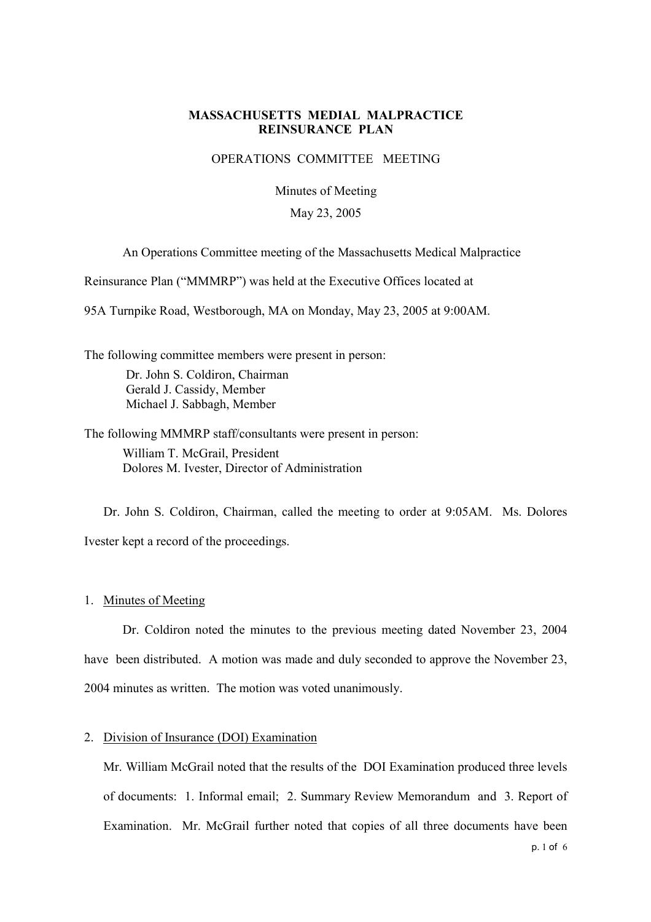## **MASSACHUSETTS MEDIAL MALPRACTICE REINSURANCE PLAN**

## OPERATIONS COMMITTEE MEETING

Minutes of Meeting

### May 23, 2005

An Operations Committee meeting of the Massachusetts Medical Malpractice

Reinsurance Plan ("MMMRP") was held at the Executive Offices located at

95A Turnpike Road, Westborough, MA on Monday, May 23, 2005 at 9:00AM.

The following committee members were present in person: Dr. John S. Coldiron, Chairman Gerald J. Cassidy, Member Michael J. Sabbagh, Member

The following MMMRP staff/consultants were present in person: William T. McGrail, President Dolores M. Ivester, Director of Administration

Dr. John S. Coldiron, Chairman, called the meeting to order at 9:05AM. Ms. Dolores Ivester kept a record of the proceedings.

1. Minutes of Meeting

Dr. Coldiron noted the minutes to the previous meeting dated November 23, 2004 have been distributed. A motion was made and duly seconded to approve the November 23, 2004 minutes as written. The motion was voted unanimously.

## 2. Division of Insurance (DOI) Examination

Mr. William McGrail noted that the results of the DOI Examination produced three levels of documents: 1. Informal email; 2. Summary Review Memorandum and 3. Report of Examination. Mr. McGrail further noted that copies of all three documents have been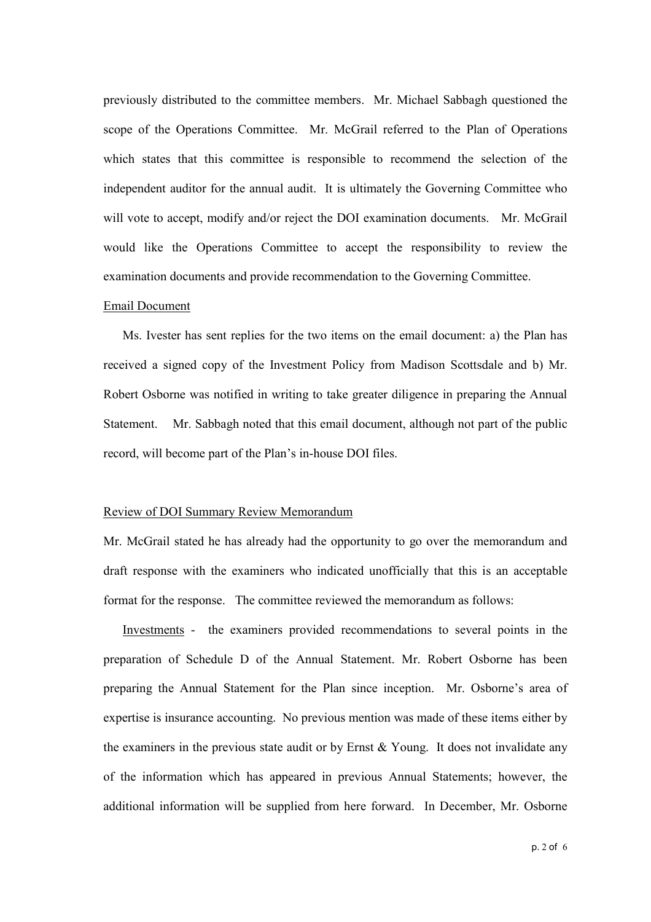previously distributed to the committee members. Mr. Michael Sabbagh questioned the scope of the Operations Committee. Mr. McGrail referred to the Plan of Operations which states that this committee is responsible to recommend the selection of the independent auditor for the annual audit. It is ultimately the Governing Committee who will vote to accept, modify and/or reject the DOI examination documents. Mr. McGrail would like the Operations Committee to accept the responsibility to review the examination documents and provide recommendation to the Governing Committee.

## Email Document

Ms. Ivester has sent replies for the two items on the email document: a) the Plan has received a signed copy of the Investment Policy from Madison Scottsdale and b) Mr. Robert Osborne was notified in writing to take greater diligence in preparing the Annual Statement. Mr. Sabbagh noted that this email document, although not part of the public record, will become part of the Plan's in-house DOI files.

#### Review of DOI Summary Review Memorandum

Mr. McGrail stated he has already had the opportunity to go over the memorandum and draft response with the examiners who indicated unofficially that this is an acceptable format for the response. The committee reviewed the memorandum as follows:

Investments - the examiners provided recommendations to several points in the preparation of Schedule D of the Annual Statement. Mr. Robert Osborne has been preparing the Annual Statement for the Plan since inception. Mr. Osborne's area of expertise is insurance accounting. No previous mention was made of these items either by the examiners in the previous state audit or by Ernst  $& Young$ . It does not invalidate any of the information which has appeared in previous Annual Statements; however, the additional information will be supplied from here forward. In December, Mr. Osborne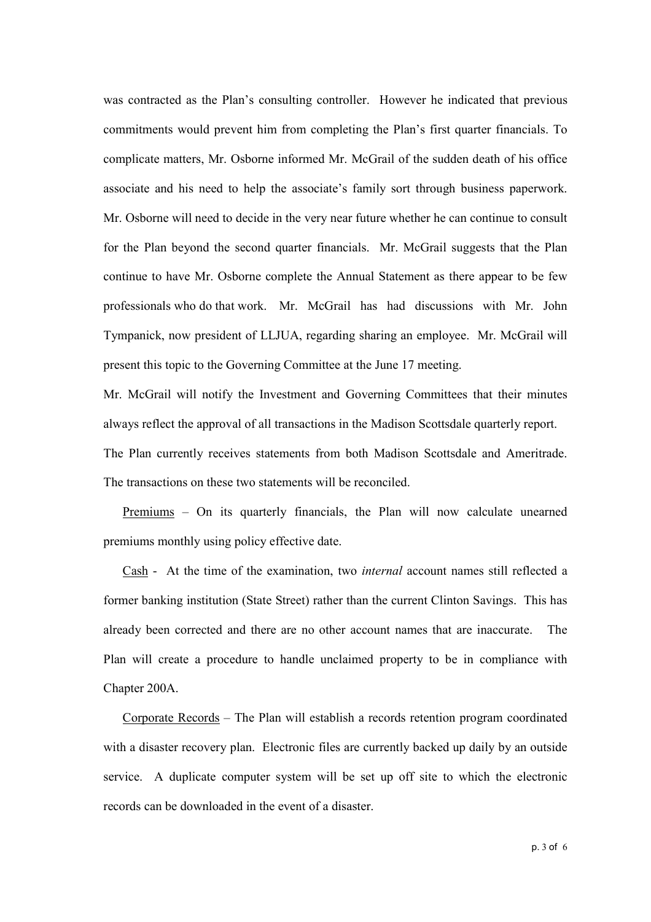was contracted as the Plan's consulting controller. However he indicated that previous commitments would prevent him from completing the Plan's first quarter financials. To complicate matters, Mr. Osborne informed Mr. McGrail of the sudden death of his office associate and his need to help the associate's family sort through business paperwork. Mr. Osborne will need to decide in the very near future whether he can continue to consult for the Plan beyond the second quarter financials. Mr. McGrail suggests that the Plan continue to have Mr. Osborne complete the Annual Statement as there appear to be few professionals who do that work. Mr. McGrail has had discussions with Mr. John Tympanick, now president of LLJUA, regarding sharing an employee. Mr. McGrail will present this topic to the Governing Committee at the June 17 meeting.

Mr. McGrail will notify the Investment and Governing Committees that their minutes always reflect the approval of all transactions in the Madison Scottsdale quarterly report. The Plan currently receives statements from both Madison Scottsdale and Ameritrade. The transactions on these two statements will be reconciled.

Premiums – On its quarterly financials, the Plan will now calculate unearned premiums monthly using policy effective date.

Cash - At the time of the examination, two internal account names still reflected a former banking institution (State Street) rather than the current Clinton Savings. This has already been corrected and there are no other account names that are inaccurate. The Plan will create a procedure to handle unclaimed property to be in compliance with Chapter 200A.

Corporate Records – The Plan will establish a records retention program coordinated with a disaster recovery plan. Electronic files are currently backed up daily by an outside service. A duplicate computer system will be set up off site to which the electronic records can be downloaded in the event of a disaster.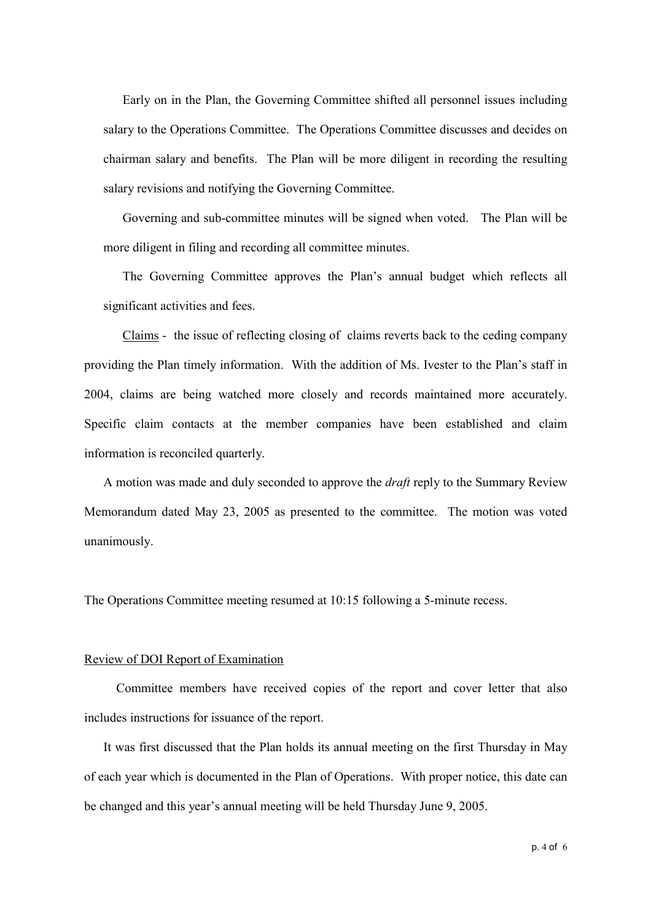Early on in the Plan, the Governing Committee shifted all personnel issues including salary to the Operations Committee. The Operations Committee discusses and decides on chairman salary and benefits. The Plan will be more diligent in recording the resulting salary revisions and notifying the Governing Committee.

Governing and sub-committee minutes will be signed when voted. The Plan will be more diligent in filing and recording all committee minutes.

The Governing Committee approves the Plan's annual budget which reflects all significant activities and fees.

Claims - the issue of reflecting closing of claims reverts back to the ceding company providing the Plan timely information. With the addition of Ms. Ivester to the Plan's staff in 2004, claims are being watched more closely and records maintained more accurately. Specific claim contacts at the member companies have been established and claim information is reconciled quarterly.

A motion was made and duly seconded to approve the draft reply to the Summary Review Memorandum dated May 23, 2005 as presented to the committee. The motion was voted unanimously.

The Operations Committee meeting resumed at 10:15 following a 5-minute recess.

#### Review of DOI Report of Examination

Committee members have received copies of the report and cover letter that also includes instructions for issuance of the report.

It was first discussed that the Plan holds its annual meeting on the first Thursday in May of each year which is documented in the Plan of Operations. With proper notice, this date can be changed and this year's annual meeting will be held Thursday June 9, 2005.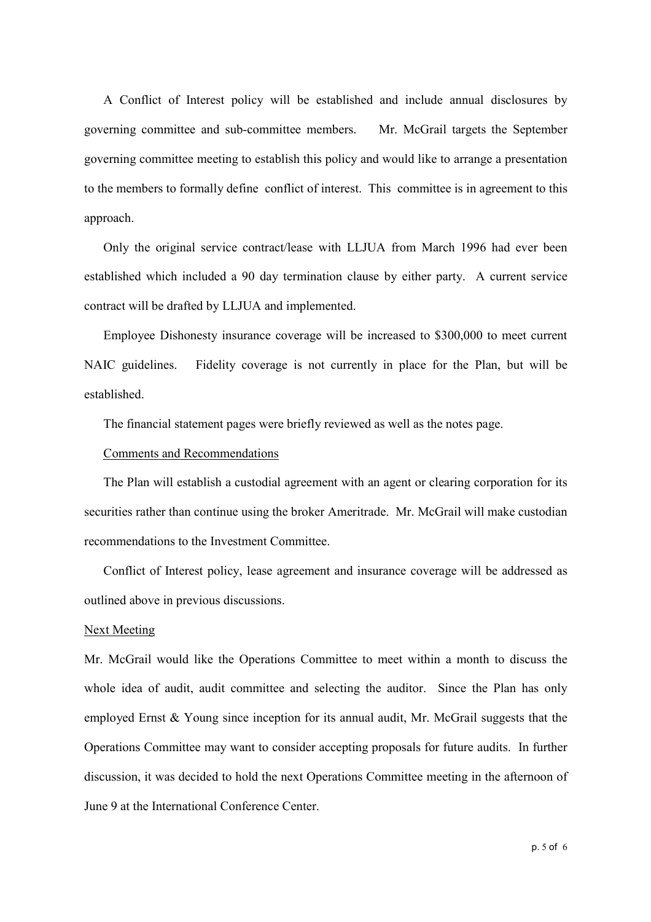A Conflict of Interest policy will be established and include annual disclosures by governing committee and sub-committee members. Mr. McGrail targets the September governing committee meeting to establish this policy and would like to arrange a presentation to the members to formally define conflict of interest. This committee is in agreement to this approach.

Only the original service contract/lease with LLJUA from March 1996 had ever been established which included a 90 day termination clause by either party. A current service contract will be drafted by LLJUA and implemented.

Employee Dishonesty insurance coverage will be increased to \$300,000 to meet current NAIC guidelines. Fidelity coverage is not currently in place for the Plan, but will be established.

The financial statement pages were briefly reviewed as well as the notes page.

### Comments and Recommendations

The Plan will establish a custodial agreement with an agent or clearing corporation for its securities rather than continue using the broker Ameritrade. Mr. McGrail will make custodian recommendations to the Investment Committee.

Conflict of Interest policy, lease agreement and insurance coverage will be addressed as outlined above in previous discussions.

#### Next Meeting

Mr. McGrail would like the Operations Committee to meet within a month to discuss the whole idea of audit, audit committee and selecting the auditor. Since the Plan has only employed Ernst & Young since inception for its annual audit, Mr. McGrail suggests that the Operations Committee may want to consider accepting proposals for future audits. In further discussion, it was decided to hold the next Operations Committee meeting in the afternoon of June 9 at the International Conference Center.